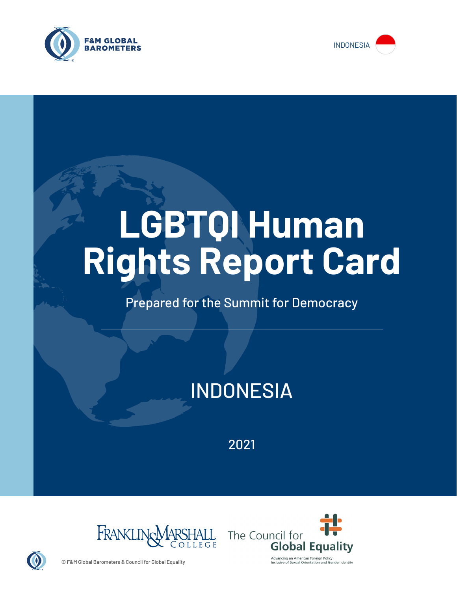



# **LGBTQI Human Rights Report Card**

# Prepared for the Summit for Democracy

# INDONESIA

2021





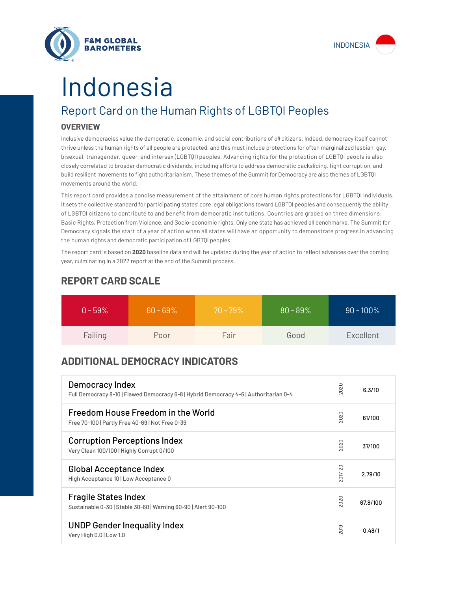



# Indonesia

# Report Card on the Human Rights of LGBTQI Peoples

## **OVERVIEW**

Inclusive democracies value the democratic, economic, and social contributions of *all* citizens. Indeed, democracy itself cannot thrive unless the human rights of all people are protected, and this must include protections for often marginalized lesbian, gay, bisexual, transgender, queer, and intersex (LGBTQI) peoples. Advancing rights for the protection of LGBTQI people is also closely correlated to broader democratic dividends, including efforts to address democratic backsliding, fight corruption, and build resilient movements to fight authoritarianism. These themes of the Summit for Democracy are also themes of LGBTQI movements around the world.

This report card provides a concise measurement of the attainment of core human rights protections for LGBTQI individuals. It sets the collective standard for participating states' core legal obligations toward LGBTQI peoples and consequently the ability of LGBTQI citizens to contribute to and benefit from democratic institutions. Countries are graded on three dimensions: Basic Rights, Protection from Violence, and Socio-economic rights. Only one state has achieved all benchmarks. The Summit for Democracy signals the start of a year of action when all states will have an opportunity to demonstrate progress in advancing the human rights and democratic participation of LGBTQI peoples.

The report card is based on **2020** baseline data and will be updated during the year of action to reflect advances over the coming year, culminating in a 2022 report at the end of the Summit process.

| $0 - 59\%$ | $60 - 69\%$ | $70 - 79\%$ | $80 - 89%$ | $90 - 100\%$ |
|------------|-------------|-------------|------------|--------------|
| Failing    | Poor        | Fair        | Good       | Excellent    |

# **REPORT CARD SCALE**

# **ADDITIONAL DEMOCRACY INDICATORS**

| Democracy Index<br>Full Democracy 8-10   Flawed Democracy 6-8   Hybrid Democracy 4-6   Authoritarian 0-4 | 2020                | 6.3/10   |
|----------------------------------------------------------------------------------------------------------|---------------------|----------|
| Freedom House Freedom in the World<br>Free 70-100   Partly Free 40-69   Not Free 0-39                    | 2020                | 61/100   |
| <b>Corruption Perceptions Index</b><br>Very Clean 100/100   Highly Corrupt 0/100                         | 2020                | 37/100   |
| <b>Global Acceptance Index</b><br>High Acceptance 10   Low Acceptance 0                                  | 2017-20             | 2.79/10  |
| <b>Fragile States Index</b><br>Sustainable 0-30   Stable 30-60   Warning 60-90   Alert 90-100            | 020<br>$\bar{\sim}$ | 67.8/100 |
| <b>UNDP Gender Inequality Index</b><br>Very High 0.0   Low 1.0                                           | 2019                | 0.48/1   |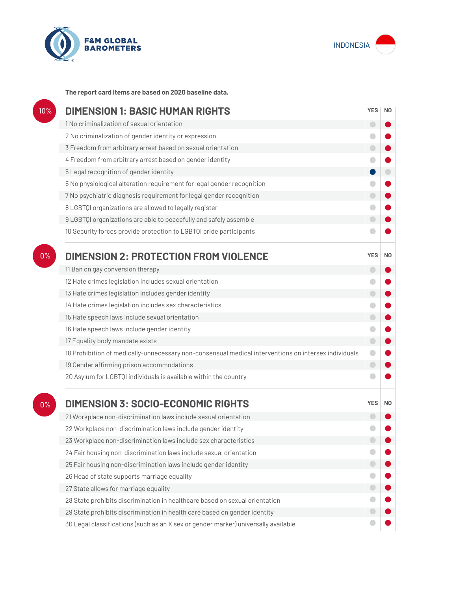



**The report card items are based on 2020 baseline data.**

| 10% | <b>DIMENSION 1: BASIC HUMAN RIGHTS</b>                                                               |                          |                |
|-----|------------------------------------------------------------------------------------------------------|--------------------------|----------------|
|     | 1 No criminalization of sexual orientation                                                           | $\overline{\phantom{0}}$ |                |
|     | 2 No criminalization of gender identity or expression                                                | O                        |                |
|     | 3 Freedom from arbitrary arrest based on sexual orientation                                          | $\bigcirc$               |                |
|     | 4 Freedom from arbitrary arrest based on gender identity                                             |                          |                |
|     | 5 Legal recognition of gender identity                                                               |                          |                |
|     | 6 No physiological alteration requirement for legal gender recognition                               | o                        |                |
|     | 7 No psychiatric diagnosis requirement for legal gender recognition                                  | $\bigcirc$               |                |
|     | 8 LGBTQI organizations are allowed to legally register                                               |                          |                |
|     | 9 LGBTQI organizations are able to peacefully and safely assemble                                    | O                        |                |
|     | 10 Security forces provide protection to LGBTQI pride participants                                   |                          |                |
| 0%  | <b>DIMENSION 2: PROTECTION FROM VIOLENCE</b>                                                         | <b>YES</b>               | N <sub>0</sub> |
|     | 11 Ban on gay conversion therapy                                                                     | $\overline{\phantom{0}}$ |                |
|     | 12 Hate crimes legislation includes sexual orientation                                               | a                        |                |
|     | 13 Hate crimes legislation includes gender identity                                                  | $\bigcirc$               |                |
|     | 14 Hate crimes legislation includes sex characteristics                                              | O                        |                |
|     | 15 Hate speech laws include sexual orientation                                                       | $\bigcirc$               |                |
|     | 16 Hate speech laws include gender identity                                                          | O                        |                |
|     | 17 Equality body mandate exists                                                                      | $\bigcirc$               |                |
|     | 18 Prohibition of medically-unnecessary non-consensual medical interventions on intersex individuals | $\Box$                   |                |
|     | 19 Gender affirming prison accommodations                                                            | $\bigcirc$               |                |
|     | 20 Asylum for LGBTQI individuals is available within the country                                     |                          |                |
| 0%  | <b>DIMENSION 3: SOCIO-ECONOMIC RIGHTS</b>                                                            | <b>YES</b>               | N <sub>0</sub> |
|     | 21 Workplace non-discrimination laws include sexual orientation                                      |                          |                |
|     | 22 Workplace non-discrimination laws include gender identity                                         |                          |                |
|     | 23 Workplace non-discrimination laws include sex characteristics                                     |                          |                |
|     | 24 Fair housing non-discrimination laws include sexual orientation                                   |                          |                |
|     | 25 Fair housing non-discrimination laws include gender identity                                      |                          |                |
|     | 26 Head of state supports marriage equality                                                          |                          |                |
|     | 27 State allows for marriage equality                                                                | 0                        |                |
|     | 28 State prohibits discrimination in healthcare based on sexual orientation                          | $\bullet$                |                |
|     | 29 State prohibits discrimination in health care based on gender identity                            |                          |                |
|     | 30 Legal classifications (such as an X sex or gender marker) universally available                   |                          |                |